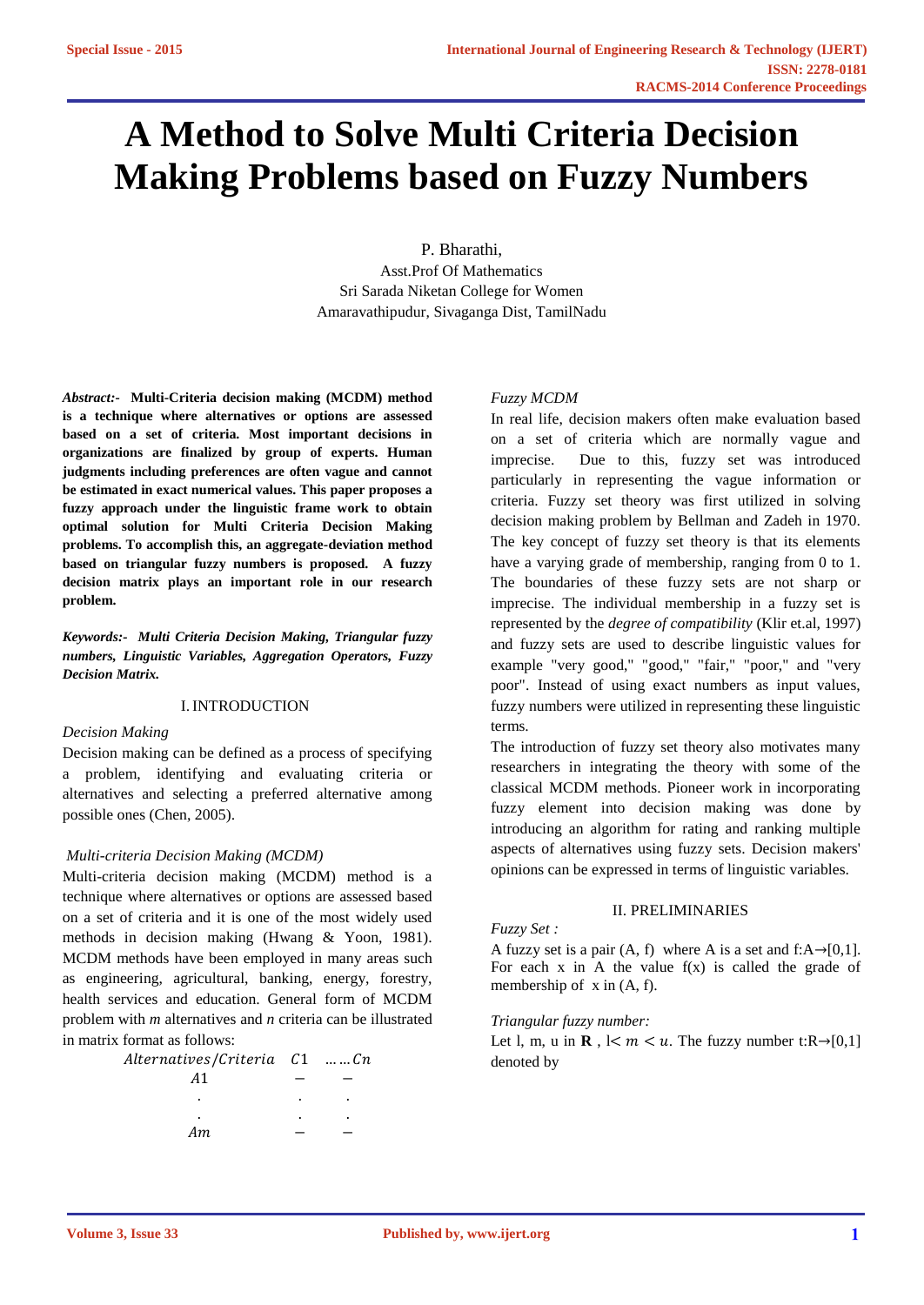# **A Method to Solve Multi Criteria Decision Making Problems based on Fuzzy Numbers**

P. Bharathi,

Asst.Prof Of Mathematics Sri Sarada Niketan College for Women Amaravathipudur, Sivaganga Dist, TamilNadu

*Abstract:-* **Multi-Criteria decision making (MCDM) method is a technique where alternatives or options are assessed based on a set of criteria. Most important decisions in organizations are finalized by group of experts. Human judgments including preferences are often vague and cannot be estimated in exact numerical values. This paper proposes a fuzzy approach under the linguistic frame work to obtain optimal solution for Multi Criteria Decision Making problems. To accomplish this, an aggregate-deviation method based on triangular fuzzy numbers is proposed. A fuzzy decision matrix plays an important role in our research problem.**

*Keywords:- Multi Criteria Decision Making, Triangular fuzzy numbers, Linguistic Variables, Aggregation Operators, Fuzzy Decision Matrix.*

## I.INTRODUCTION

#### *Decision Making*

Decision making can be defined as a process of specifying a problem, identifying and evaluating criteria or alternatives and selecting a preferred alternative among possible ones (Chen, 2005).

#### *Multi-criteria Decision Making (MCDM)*

Multi-criteria decision making (MCDM) method is a technique where alternatives or options are assessed based on a set of criteria and it is one of the most widely used methods in decision making (Hwang & Yoon, 1981). MCDM methods have been employed in many areas such as engineering, agricultural, banking, energy, forestry, health services and education. General form of MCDM problem with *m* alternatives and *n* criteria can be illustrated in matrix format as follows:

| Alternatives/Criteria C1 Cn |   |   |
|-----------------------------|---|---|
| A1                          |   |   |
|                             | ٠ | ٠ |
|                             | ٠ | ٠ |
| Аm                          |   |   |

#### *Fuzzy MCDM*

In real life, decision makers often make evaluation based on a set of criteria which are normally vague and imprecise. Due to this, fuzzy set was introduced particularly in representing the vague information or criteria. Fuzzy set theory was first utilized in solving decision making problem by Bellman and Zadeh in 1970. The key concept of fuzzy set theory is that its elements have a varying grade of membership, ranging from 0 to 1. The boundaries of these fuzzy sets are not sharp or imprecise. The individual membership in a fuzzy set is represented by the *degree of compatibility* (Klir et.al, 1997) and fuzzy sets are used to describe linguistic values for example "very good," "good," "fair," "poor," and "very poor". Instead of using exact numbers as input values, fuzzy numbers were utilized in representing these linguistic terms.

The introduction of fuzzy set theory also motivates many researchers in integrating the theory with some of the classical MCDM methods. Pioneer work in incorporating fuzzy element into decision making was done by introducing an algorithm for rating and ranking multiple aspects of alternatives using fuzzy sets. Decision makers' opinions can be expressed in terms of linguistic variables.

#### II. PRELIMINARIES

#### *Fuzzy Set :*

A fuzzy set is a pair  $(A, f)$  where A is a set and f: $A \rightarrow [0,1]$ . For each  $x$  in A the value  $f(x)$  is called the grade of membership of x in (A, f).

#### *Triangular fuzzy number:*

Let l, m, u in **R** ,  $1 < m < u$ . The fuzzy number t:R $\rightarrow$ [0,1] denoted by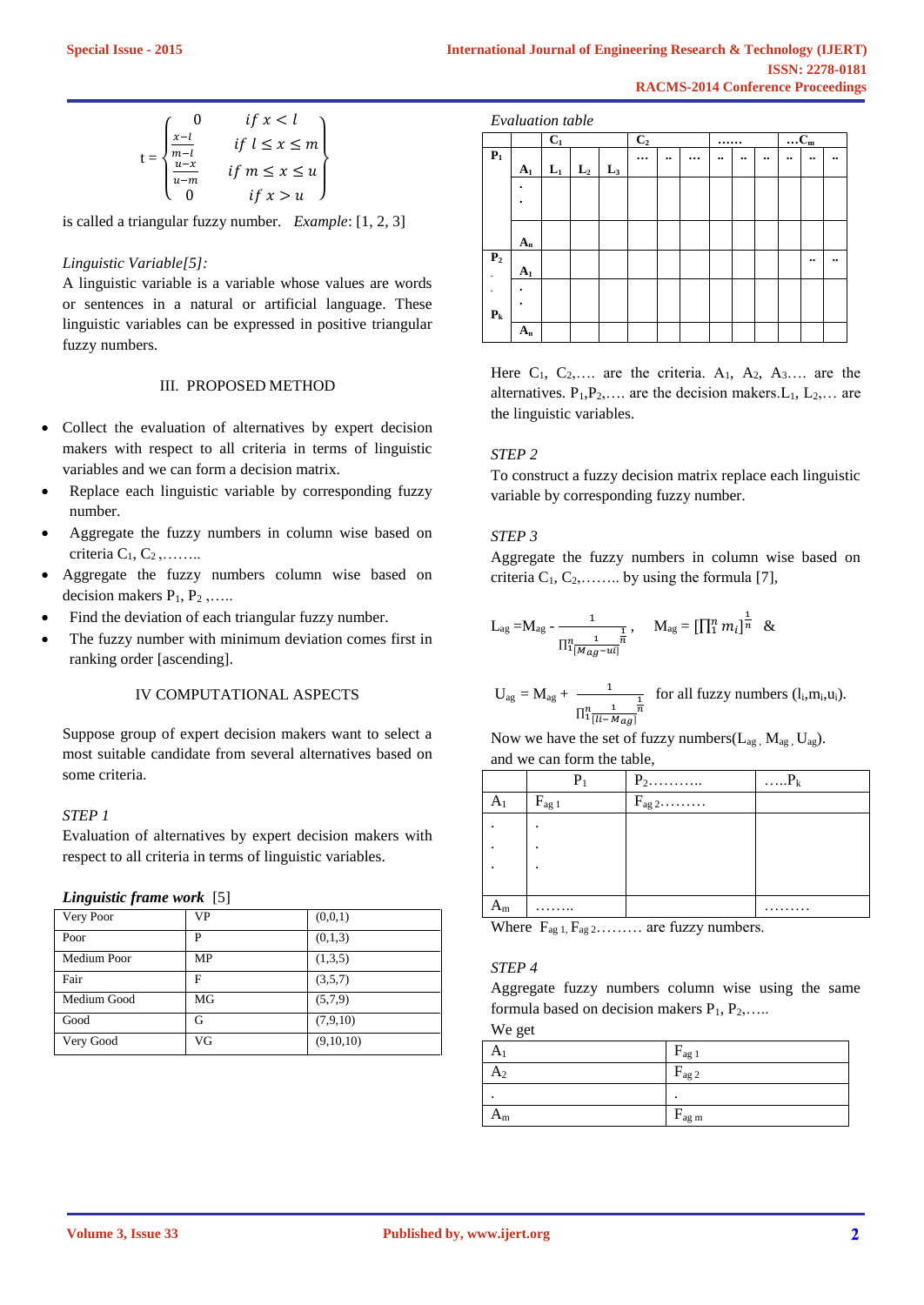$$
t = \begin{cases} 0 & \text{if } x < l \\ \frac{x - l}{m - l} & \text{if } l \le x \le m \\ \frac{u - x}{u - m} & \text{if } m \le x \le u \\ 0 & \text{if } x > u \end{cases}
$$

is called a triangular fuzzy number. *Example*: [1, 2, 3]

## *Linguistic Variable[5]:*

A linguistic variable is a variable whose values are words or sentences in a natural or artificial language. These linguistic variables can be expressed in positive triangular fuzzy numbers.

#### III. PROPOSED METHOD

- Collect the evaluation of alternatives by expert decision makers with respect to all criteria in terms of linguistic variables and we can form a decision matrix.
- Replace each linguistic variable by corresponding fuzzy number.
- Aggregate the fuzzy numbers in column wise based on criteria  $C_1, C_2, \ldots$ ...
- Aggregate the fuzzy numbers column wise based on decision makers  $P_1, P_2, \ldots$ .
- Find the deviation of each triangular fuzzy number.
- The fuzzy number with minimum deviation comes first in ranking order [ascending].

#### IV COMPUTATIONAL ASPECTS

Suppose group of expert decision makers want to select a most suitable candidate from several alternatives based on some criteria.

## *STEP 1*

Evaluation of alternatives by expert decision makers with respect to all criteria in terms of linguistic variables.

#### *Linguistic frame work* [5]

| Very Poor   | VP | (0,0,1)   |
|-------------|----|-----------|
| Poor        | P  | (0,1,3)   |
| Medium Poor | MP | (1,3,5)   |
| Fair        | F  | (3,5,7)   |
| Medium Good | MG | (5,7,9)   |
| Good        | G  | (7,9,10)  |
| Very Good   | VG | (9,10,10) |

|                | Evaluation table |                  |       |       |                |  |          |  |  |  |                        |                      |                      |
|----------------|------------------|------------------|-------|-------|----------------|--|----------|--|--|--|------------------------|----------------------|----------------------|
|                |                  | $\overline{C}_1$ |       |       | C <sub>2</sub> |  |          |  |  |  | $\overline{\ldots}C_m$ |                      |                      |
| $\mathbf{P}_1$ | A <sub>1</sub>   | $L_1$            | $L_2$ | $L_3$ |                |  | $\cdots$ |  |  |  |                        | $\bullet\bullet$     |                      |
|                |                  |                  |       |       |                |  |          |  |  |  |                        |                      |                      |
|                | $A_n$            |                  |       |       |                |  |          |  |  |  |                        |                      |                      |
| P <sub>2</sub> | $A_1$            |                  |       |       |                |  |          |  |  |  |                        | $\ddot{\phantom{0}}$ | $\ddot{\phantom{0}}$ |
|                |                  |                  |       |       |                |  |          |  |  |  |                        |                      |                      |
| $P_{k}$        |                  |                  |       |       |                |  |          |  |  |  |                        |                      |                      |
|                | $A_n$            |                  |       |       |                |  |          |  |  |  |                        |                      |                      |

Here  $C_1$ ,  $C_2$ ,.... are the criteria.  $A_1$ ,  $A_2$ ,  $A_3$ .... are the alternatives.  $P_1, P_2, \ldots$  are the decision makers.  $L_1, L_2, \ldots$  are the linguistic variables.

## *STEP 2*

To construct a fuzzy decision matrix replace each linguistic variable by corresponding fuzzy number.

## *STEP 3*

Aggregate the fuzzy numbers in column wise based on criteria  $C_1, C_2, \ldots$  by using the formula [7],

$$
L_{ag} = M_{ag} - \frac{1}{\prod_{\substack{1 \ n \text{ odd}}}^n \frac{1}{m}} , \quad M_{ag} = [\prod_{1}^n m_i]^{\frac{1}{n}} \&
$$

$$
U_{ag} = M_{ag} + \frac{1}{\prod_{\substack{n=1 \ n \{[i-1] \, \text{mod} \, n}}^n} \text{ for all fuzzy numbers } (l_i, m_i, u_i).
$$

Now we have the set of fuzzy numbers( $L_{ag}$ ,  $M_{ag}$ ,  $U_{ag}$ ). and we can form the table,

|                | $P_1$                 |             | $\ldots P_k$ |
|----------------|-----------------------|-------------|--------------|
| A <sub>1</sub> | $F_{ag}$ <sub>1</sub> | $F_{ag\,2}$ |              |
|                |                       |             |              |
|                |                       |             |              |
|                |                       |             |              |
|                |                       |             |              |
| $A_m$          | .                     |             |              |

Where  $F_{\text{ag 1}}$ ,  $F_{\text{ag 2}}$ ........ are fuzzy numbers.

#### *STEP 4*

Aggregate fuzzy numbers column wise using the same formula based on decision makers  $P_1, P_2, \ldots$ .

We get

|                | $\rm r_{ag\,1}$   |
|----------------|-------------------|
| A2             | $F_{ag\,2}$       |
|                |                   |
| A <sub>m</sub> | $F_{\text{ag m}}$ |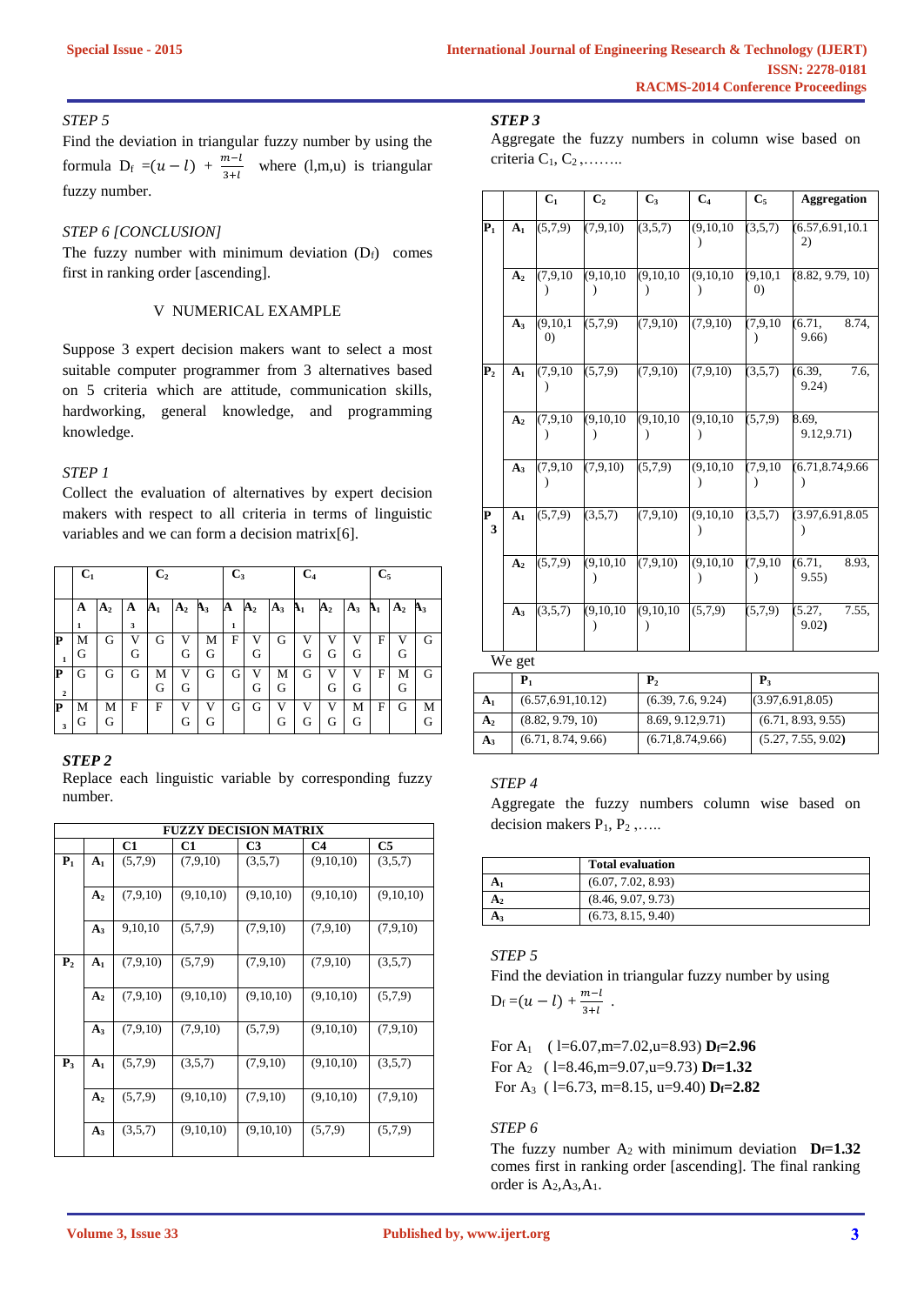## *STEP 5*

Find the deviation in triangular fuzzy number by using the formula D<sub>f</sub> =( $u - l$ ) +  $\frac{m-l}{2+l}$  $\frac{m-1}{3+l}$  where (l,m,u) is triangular fuzzy number.

## *STEP 6 [CONCLUSION]*

The fuzzy number with minimum deviation  $(D_f)$  comes first in ranking order [ascending].

## V NUMERICAL EXAMPLE

Suppose 3 expert decision makers want to select a most suitable computer programmer from 3 alternatives based on 5 criteria which are attitude, communication skills, hardworking, general knowledge, and programming knowledge.

# *STEP 1*

Collect the evaluation of alternatives by expert decision makers with respect to all criteria in terms of linguistic variables and we can form a decision matrix[6].

|                              | $C_1$  |                |        | C <sub>2</sub> |                |        | $C_3$             |                |        | C <sub>4</sub> |             |        | $C_5$          |                |        |
|------------------------------|--------|----------------|--------|----------------|----------------|--------|-------------------|----------------|--------|----------------|-------------|--------|----------------|----------------|--------|
|                              | A      | A <sub>2</sub> | A      | ${\bf A_1}$    | A <sub>2</sub> | $A_3$  | A                 | A <sub>2</sub> | $A_3$  | ${\bf h}_1$    | ${\bf A_2}$ | $A_3$  | B <sub>1</sub> | A <sub>2</sub> | $A_3$  |
| P                            | 1<br>М | G              | 3<br>V | G              | V              | М      | $\mathbf{1}$<br>F | V              | G      | V              | V           | V      | F              | V              | G      |
| $\mathbf 1$                  | G      |                | G      |                | G              | G      |                   | G              |        | G              | G           | G      |                | G              |        |
| P<br>$\overline{\mathbf{c}}$ | G      | G              | G      | М<br>G         | V<br>G         | G      | G                 | V<br>G         | М<br>G | G              | V<br>G      | v<br>G | F              | М<br>G         | G      |
| IP<br>3                      | М<br>G | М<br>G         | F      | F              | V<br>G         | V<br>G | G                 | G              | V<br>G | v<br>G         | V<br>G      | M<br>G | F              | G              | М<br>G |

## *STEP 2*

Replace each linguistic variable by corresponding fuzzy number.

|               |                |          | <b>FUZZY DECISION MATRIX</b> |                |                |           |
|---------------|----------------|----------|------------------------------|----------------|----------------|-----------|
|               |                | C1       | C1                           | C <sub>3</sub> | C <sub>4</sub> | C5        |
| $P_1$         | A <sub>1</sub> | (5,7,9)  | (7,9,10)                     | (3,5,7)        | (9,10,10)      | (3,5,7)   |
|               | A <sub>2</sub> | (7,9,10) | (9,10,10)                    | (9,10,10)      | (9,10,10)      | (9,10,10) |
|               | $A_3$          | 9,10,10  | (5,7,9)                      | (7,9,10)       | (7.9.10)       | (7,9,10)  |
| ${\bf P}_{2}$ | A <sub>1</sub> | (7,9,10) | (5,7,9)                      | (7,9,10)       | (7,9,10)       | (3,5,7)   |
|               | A <sub>2</sub> | (7,9,10) | (9,10,10)                    | (9,10,10)      | (9,10,10)      | (5,7,9)   |
|               | $A_3$          | (7,9,10) | (7,9,10)                     | (5,7,9)        | (9,10,10)      | (7,9,10)  |
| $P_3$         | A <sub>1</sub> | (5,7,9)  | (3,5,7)                      | (7,9,10)       | (9,10,10)      | (3,5,7)   |
|               | A <sub>2</sub> | (5,7,9)  | (9,10,10)                    | (7,9,10)       | (9,10,10)      | (7,9,10)  |
|               | $A_3$          | (3,5,7)  | (9,10,10)                    | (9,10,10)      | (5,7,9)        | (5,7,9)   |

## *STEP 3*

Aggregate the fuzzy numbers in column wise based on criteria  $C_1, C_2, \ldots$ ...

|                  |                | C <sub>1</sub>                  | C <sub>2</sub> | $C_3$       | C <sub>4</sub> | $C_5$                           | <b>Aggregation</b>                 |
|------------------|----------------|---------------------------------|----------------|-------------|----------------|---------------------------------|------------------------------------|
| $P_1$            | A <sub>1</sub> | (5,7,9)                         | (7, 9, 10)     | (3,5,7)     | (9,10,10)      | (3,5,7)                         | (6.57, 6.91, 10.1)<br>$\mathbf{2}$ |
|                  | A <sub>2</sub> | (7, 9, 10)                      | (9, 10, 10)    | (9, 10, 10) | (9,10,10)      | (9, 10, 1)<br>$\left( 0\right)$ | (8.82, 9.79, 10)                   |
|                  | $A_3$          | (9, 10, 1)<br>$\left( 0\right)$ | (5,7,9)        | (7,9,10)    | (7,9,10)       | (7, 9, 10)                      | 6.71,<br>8.74.<br>9.66             |
| ${\bf P}_{2}$    | A <sub>1</sub> | (7,9,10)                        | (5,7,9)        | (7,9,10)    | (7, 9, 10)     | (3,5,7)                         | 7.6,<br>(6.39,<br>9.24)            |
|                  | A <sub>2</sub> | (7.9, 10)                       | (9, 10, 10)    | (9,10,10)   | (9,10,10)      | (5.7.9)                         | 8.69,<br>9.12,9.71)                |
|                  | $A_3$          | (7,9,10)                        | (7, 9, 10)     | (5,7,9)     | (9,10,10)      | (7, 9, 10)                      | (6.71, 8.74, 9.66)                 |
| $\mathbf P$<br>3 | A <sub>1</sub> | (5,7,9)                         | (3,5,7)        | (7,9,10)    | (9, 10, 10)    | (3,5,7)                         | (3.97, 6.91, 8.05)                 |
|                  | A <sub>2</sub> | (5,7,9)                         | (9, 10, 10)    | (7,9,10)    | (9,10,10)      | (7,9,10)                        | (6.71,<br>8.93.<br>9.55)           |
|                  | $A_3$          | (3,5,7)                         | (9, 10, 10)    | (9,10,10)   | (5,7,9)        | (5,7,9)                         | 7.55,<br>(5.27,<br>9.02)           |
|                  | We get         |                                 |                |             |                |                                 |                                    |

|                | ${\bf P}_1$         | ${\bf P}_2$        | ${\bf P}_3$        |
|----------------|---------------------|--------------------|--------------------|
| A <sub>1</sub> | (6.57, 6.91, 10.12) | (6.39, 7.6, 9.24)  | (3.97, 6.91, 8.05) |
| A <sub>2</sub> | (8.82, 9.79, 10)    | 8.69, 9.12, 9.71)  | (6.71, 8.93, 9.55) |
| $A_3$          | (6.71, 8.74, 9.66)  | (6.71, 8.74, 9.66) | (5.27, 7.55, 9.02) |

#### *STEP 4*

Aggregate the fuzzy numbers column wise based on decision makers  $P_1, P_2, \ldots$ .

| <b>Total evaluation</b> |
|-------------------------|
| (6.07, 7.02, 8.93)      |
| (8.46, 9.07, 9.73)      |
| (6.73, 8.15, 9.40)      |

# *STEP 5*

Find the deviation in triangular fuzzy number by using  $m-l$ 

$$
D_f = (u - l) + \frac{m - l}{3 + l} \; .
$$

For A1 ( l=6.07,m=7.02,u=8.93) **Df=2.96** For A2 ( l=8.46,m=9.07,u=9.73) **Df=1.32**

For A3 ( l=6.73, m=8.15, u=9.40) **Df=2.82**

## *STEP 6*

The fuzzy number  $A_2$  with minimum deviation  $D_f=1.32$ comes first in ranking order [ascending]. The final ranking order is  $A_2, A_3, A_1$ .